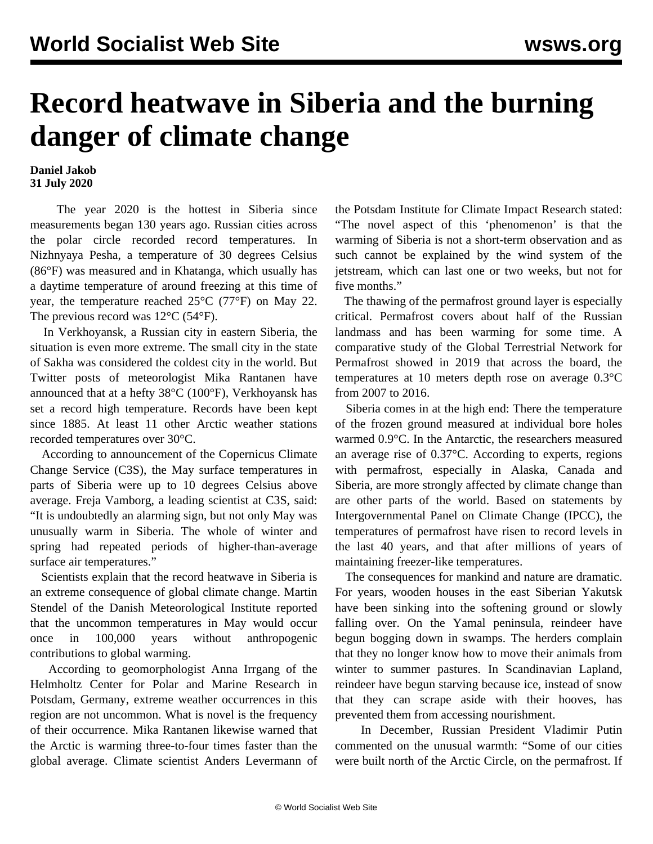## **Record heatwave in Siberia and the burning danger of climate change**

## **Daniel Jakob 31 July 2020**

 The year 2020 is the hottest in Siberia since measurements began 130 years ago. Russian cities across the polar circle recorded record temperatures. In Nizhnyaya Pesha, a temperature of 30 degrees Celsius (86°F) was measured and in Khatanga, which usually has a daytime temperature of around freezing at this time of year, the temperature reached 25°C (77°F) on May 22. The previous record was  $12^{\circ}$ C (54 $^{\circ}$ F).

 In Verkhoyansk, a Russian city in eastern Siberia, the situation is even more extreme. The small city in the state of Sakha was considered the coldest city in the world. But Twitter posts of meteorologist Mika Rantanen have announced that at a hefty 38°C (100°F), Verkhoyansk has set a record high temperature. Records have been kept since 1885. At least 11 other Arctic weather stations recorded temperatures over 30°C.

 According to announcement of the Copernicus Climate Change Service (C3S), the May surface temperatures in parts of Siberia were up to 10 degrees Celsius above average. Freja Vamborg, a leading scientist at C3S, said: "It is undoubtedly an alarming sign, but not only May was unusually warm in Siberia. The whole of winter and spring had repeated periods of higher-than-average surface air temperatures."

 Scientists explain that the record heatwave in Siberia is an extreme consequence of global climate change. Martin Stendel of the Danish Meteorological Institute reported that the uncommon temperatures in May would occur once in 100,000 years without anthropogenic contributions to global warming.

 According to geomorphologist Anna Irrgang of the Helmholtz Center for Polar and Marine Research in Potsdam, Germany, extreme weather occurrences in this region are not uncommon. What is novel is the frequency of their occurrence. Mika Rantanen likewise warned that the Arctic is warming three-to-four times faster than the global average. Climate scientist Anders Levermann of the Potsdam Institute for Climate Impact Research stated: "The novel aspect of this 'phenomenon' is that the warming of Siberia is not a short-term observation and as such cannot be explained by the wind system of the jetstream, which can last one or two weeks, but not for five months."

 The thawing of the permafrost ground layer is especially critical. Permafrost covers about half of the Russian landmass and has been warming for some time. A comparative study of the Global Terrestrial Network for Permafrost showed in 2019 that across the board, the temperatures at 10 meters depth rose on average 0.3°C from 2007 to 2016.

 Siberia comes in at the high end: There the temperature of the frozen ground measured at individual bore holes warmed 0.9°C. In the Antarctic, the researchers measured an average rise of 0.37°C. According to experts, regions with permafrost, especially in Alaska, Canada and Siberia, are more strongly affected by climate change than are other parts of the world. Based on statements by Intergovernmental Panel on Climate Change (IPCC), the temperatures of permafrost have risen to record levels in the last 40 years, and that after millions of years of maintaining freezer-like temperatures.

 The consequences for mankind and nature are dramatic. For years, wooden houses in the east Siberian Yakutsk have been sinking into the softening ground or slowly falling over. On the Yamal peninsula, reindeer have begun bogging down in swamps. The herders complain that they no longer know how to move their animals from winter to summer pastures. In Scandinavian Lapland, reindeer have begun starving because ice, instead of snow that they can scrape aside with their hooves, has prevented them from accessing nourishment.

 In December, Russian President Vladimir Putin commented on the unusual warmth: "Some of our cities were built north of the Arctic Circle, on the permafrost. If